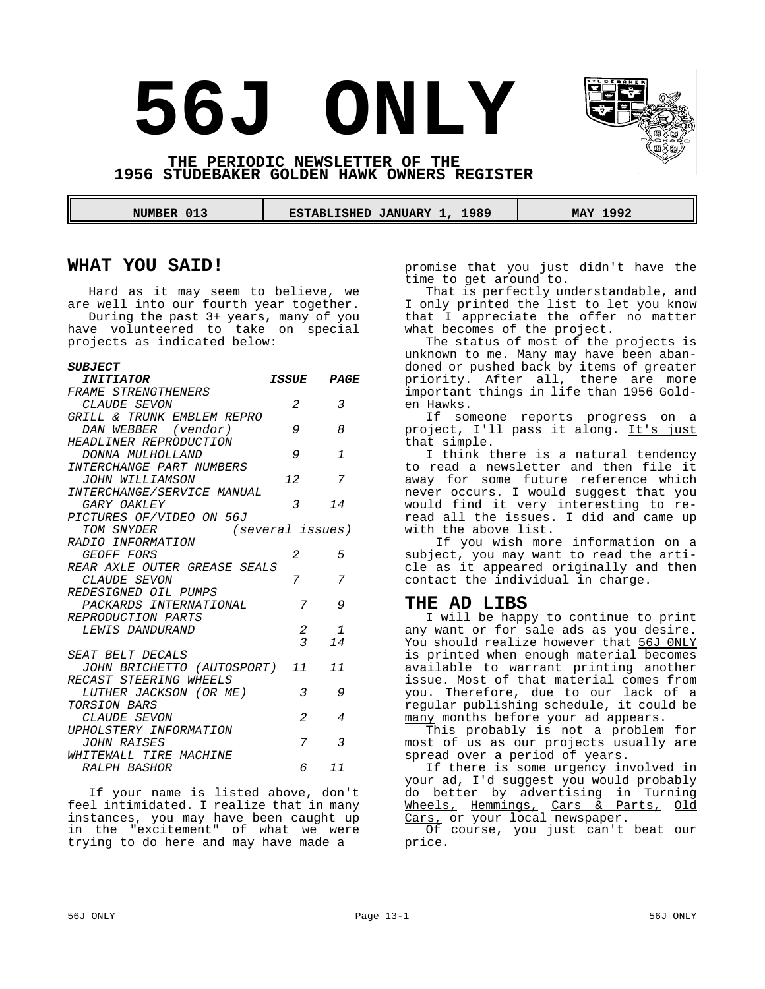# **56J ONLY**



**THE PERIODIC NEWSLETTER OF THE 1956 STUDEBAKER GOLDEN HAWK OWNERS REGISTER**

 **NUMBER 013 ESTABLISHED JANUARY 1, 1989 MAY 1992** 

# **WHAT YOU SAID!**

Hard as it may seem to believe, we are well into our fourth year together. During the past 3+ years, many of you have volunteered to take on special projects as indicated below:

#### *SUBJECT*

| <i><b>INITIATOR</b></i>              | ISSUE                   | PAGE           |
|--------------------------------------|-------------------------|----------------|
| FRAME STRENGTHENERS                  |                         |                |
| CLAUDE SEVON                         | 2                       | 3              |
| GRILL & TRUNK EMBLEM REPRO           |                         |                |
| DAN WEBBER (vendor)                  | 9                       | 8              |
| HEADLINER REPRODUCTION               |                         |                |
| DONNA MULHOLLAND                     | 9                       | $\tau$         |
| INTERCHANGE PART NUMBERS             |                         |                |
| JOHN WILLIAMSON                      | 72                      | 7              |
| INTERCHANGE/SERVICE MANUAL           |                         |                |
| GARY OAKLEY                          | 3                       | 14             |
| PICTURES OF/VIDEO ON 56J             |                         |                |
| TOM SNYDER                           | (several issues)        |                |
| RADIO INFORMATION                    |                         |                |
| GEOFF FORS                           | 2                       | 5              |
| REAR AXLE OUTER GREASE SEALS         |                         |                |
| CLAUDE SEVON                         | 7                       | 7              |
| REDESIGNED OIL PUMPS                 |                         |                |
| PACKARDS INTERNATIONAL               | 7                       | 9              |
| REPRODUCTION PARTS                   |                         |                |
| LEWIS DANDURAND                      | 2                       | $\mathbf{1}$   |
|                                      | $\overline{\mathbf{3}}$ | 74             |
| SEAT BELT DECALS                     |                         |                |
| <i>JOHN BRICHETTO (AUTOSPORT) 11</i> |                         | 7 <sub>7</sub> |
| RECAST STEERING WHEELS               |                         |                |
| LUTHER JACKSON (OR ME)               | 3                       | 9              |
| TORSION BARS                         |                         |                |
| CLAUDE SEVON                         | $\mathfrak{D}$          | 4              |
| UPHOLSTERY INFORMATION               |                         |                |
| JOHN RAISES                          | 7                       | 3              |
| WHITEWALL TIRE MACHINE               |                         |                |
| RALPH BASHOR                         | б.                      | 7 <sub>7</sub> |

If your name is listed above, don't feel intimidated. I realize that in many instances, you may have been caught up in the "excitement" of what we were trying to do here and may have made a

promise that you just didn't have the time to get around to.

That is perfectly understandable, and I only printed the list to let you know that I appreciate the offer no matter what becomes of the project.

The status of most of the projects is unknown to me. Many may have been abandoned or pushed back by items of greater priority. After all, there are more important things in life than 1956 Golden Hawks.

If someone reports progress on a project, I'll pass it along. It's just that simple.

I think there is a natural tendency to read a newsletter and then file it away for some future reference which never occurs. I would suggest that you would find it very interesting to reread all the issues. I did and came up with the above list.

 If you wish more information on a subject, you may want to read the article as it appeared originally and then contact the individual in charge.

# **THE AD LIBS**

I will be happy to continue to print any want or for sale ads as you desire. You should realize however that 56J 0NLY is printed when enough material becomes available to warrant printing another issue. Most of that material comes from you. Therefore, due to our lack of a regular publishing schedule, it could be many months before your ad appears.

This probably is not a problem for most of us as our projects usually are spread over a period of years.

If there is some urgency involved in your ad, I'd suggest you would probably do better by advertising in Turning Wheels, Hemmings, Cars & Parts, Old Cars, or your local newspaper.

Of course, you just can't beat our price.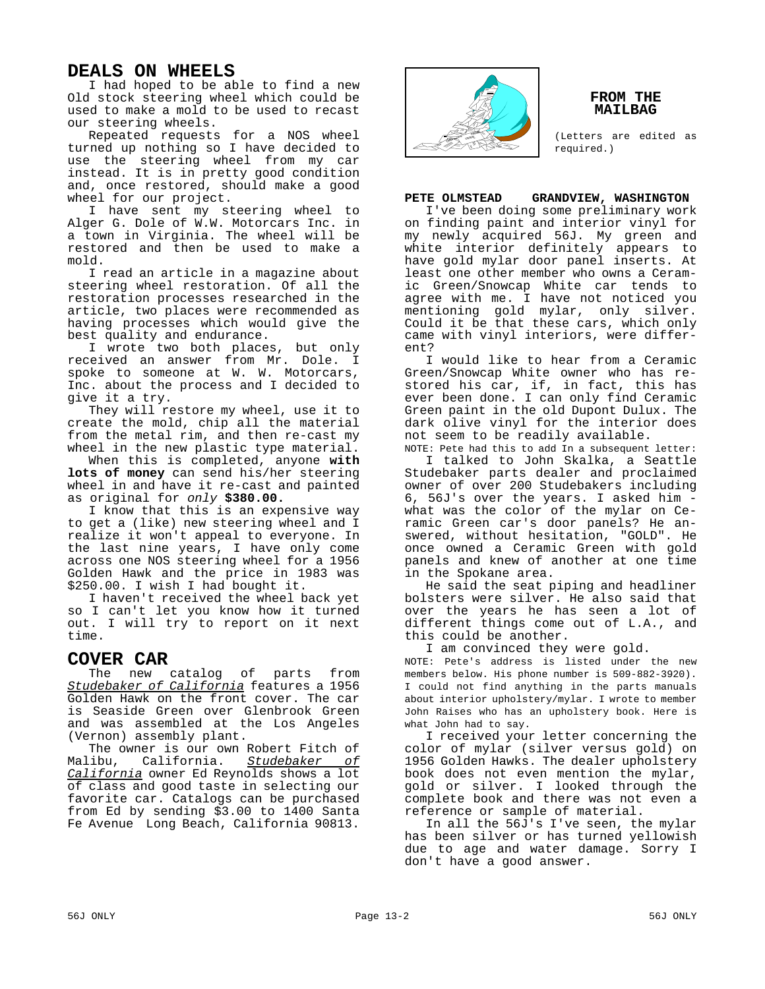# **DEALS ON WHEELS**

I had hoped to be able to find a new Old stock steering wheel which could be used to make a mold to be used to recast our steering wheels.

Repeated requests for a NOS wheel turned up nothing so I have decided to use the steering wheel from my car instead. It is in pretty good condition and, once restored, should make a good wheel for our project.

I have sent my steering wheel to Alger G. Dole of W.W. Motorcars Inc. in a town in Virginia. The wheel will be restored and then be used to make a mold.

I read an article in a magazine about steering wheel restoration. Of all the restoration processes researched in the article, two places were recommended as having processes which would give the best quality and endurance.

I wrote two both places, but only received an answer from Mr. Dole. I spoke to someone at W. W. Motorcars, Inc. about the process and I decided to give it a try.

They will restore my wheel, use it to create the mold, chip all the material from the metal rim, and then re-cast my wheel in the new plastic type material.

When this is completed, anyone **with lots of money** can send his/her steering wheel in and have it re-cast and painted as original for *only* **\$380.00.**

I know that this is an expensive way to get a (like) new steering wheel and I realize it won't appeal to everyone. In the last nine years, I have only come across one NOS steering wheel for a 1956 Golden Hawk and the price in 1983 was \$250.00. I wish I had bought it.

I haven't received the wheel back yet so I can't let you know how it turned out. I will try to report on it next time.

# **COVER CAR**

The new catalog of parts from *Studebaker of California* features a 1956 Golden Hawk on the front cover. The car is Seaside Green over Glenbrook Green and was assembled at the Los Angeles (Vernon) assembly plant.

The owner is our own Robert Fitch of Malibu, California. *Studebaker of California* owner Ed Reynolds shows a lot of class and good taste in selecting our favorite car. Catalogs can be purchased from Ed by sending \$3.00 to 1400 Santa Fe Avenue Long Beach, California 90813.



#### **FROM THE MAILBAG**

(Letters are edited as required.)

# **PETE OLMSTEAD GRANDVIEW, WASHINGTON**

I've been doing some preliminary work on finding paint and interior vinyl for my newly acquired 56J. My green and white interior definitely appears to have gold mylar door panel inserts. At least one other member who owns a Ceramic Green/Snowcap White car tends to agree with me. I have not noticed you mentioning gold mylar, only silver. Could it be that these cars, which only came with vinyl interiors, were different?

I would like to hear from a Ceramic Green/Snowcap White owner who has restored his car, if, in fact, this has ever been done. I can only find Ceramic Green paint in the old Dupont Dulux. The dark olive vinyl for the interior does not seem to be readily available.

NOTE: Pete had this to add In a subsequent letter: I talked to John Skalka, a Seattle Studebaker parts dealer and proclaimed owner of over 200 Studebakers including 6, 56J's over the years. I asked him what was the color of the mylar on Ceramic Green car's door panels? He answered, without hesitation, "GOLD". He once owned a Ceramic Green with gold panels and knew of another at one time in the Spokane area.

He said the seat piping and headliner bolsters were silver. He also said that over the years he has seen a lot of different things come out of L.A., and this could be another.

I am convinced they were gold.

NOTE: Pete's address is listed under the new members below. His phone number is 509-882-3920). I could not find anything in the parts manuals about interior upholstery/mylar. I wrote to member John Raises who has an upholstery book. Here is what John had to say.

I received your letter concerning the color of mylar (silver versus gold) on 1956 Golden Hawks. The dealer upholstery book does not even mention the mylar, gold or silver. I looked through the complete book and there was not even a reference or sample of material.

In all the 56J's I've seen, the mylar has been silver or has turned yellowish due to age and water damage. Sorry I don't have a good answer.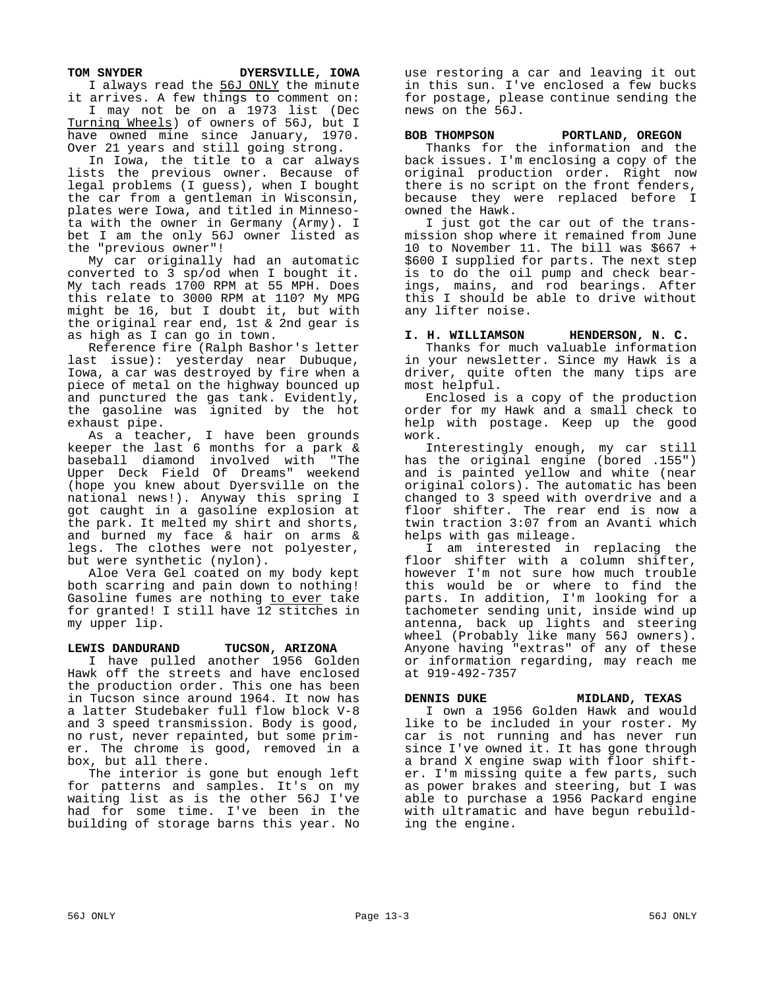TOM SNYDER DYERSVILLE, IOWA

I always read the 56J ONLY the minute it arrives. A few things to comment on:

I may not be on a 1973 list (Dec Turning Wheels) of owners of 56J, but I have owned mine since January, 1970. Over 21 years and still going strong.

In Iowa, the title to a car always lists the previous owner. Because of legal problems (I guess), when I bought the car from a gentleman in Wisconsin, plates were Iowa, and titled in Minnesota with the owner in Germany (Army). I bet I am the only 56J owner listed as the "previous owner"!

My car originally had an automatic converted to 3 sp/od when I bought it. My tach reads 1700 RPM at 55 MPH. Does this relate to 3000 RPM at 110? My MPG might be 16, but I doubt it, but with the original rear end, 1st & 2nd gear is as high as I can go in town.

Reference fire (Ralph Bashor's letter last issue): yesterday near Dubuque, Iowa, a car was destroyed by fire when a piece of metal on the highway bounced up and punctured the gas tank. Evidently, the gasoline was ignited by the hot exhaust pipe.

As a teacher, I have been grounds keeper the last 6 months for a park & baseball diamond involved with "The Upper Deck Field Of Dreams" weekend (hope you knew about Dyersville on the national news!). Anyway this spring I got caught in a gasoline explosion at the park. It melted my shirt and shorts, and burned my face & hair on arms & legs. The clothes were not polyester, but were synthetic (nylon).

Aloe Vera Gel coated on my body kept both scarring and pain down to nothing! Gasoline fumes are nothing to ever take for granted! I still have 12 stitches in my upper lip.

## **LEWIS DANDURAND TUCSON, ARIZONA**

I have pulled another 1956 Golden Hawk off the streets and have enclosed the production order. This one has been in Tucson since around 1964. It now has a latter Studebaker full flow block V-8 and 3 speed transmission. Body is good, no rust, never repainted, but some primer. The chrome is good, removed in a box, but all there.

The interior is gone but enough left for patterns and samples. It's on my waiting list as is the other 56J I've had for some time. I've been in the building of storage barns this year. No

use restoring a car and leaving it out in this sun. I've enclosed a few bucks for postage, please continue sending the news on the 56J.

#### **BOB THOMPSON PORTLAND, OREGON**

Thanks for the information and the back issues. I'm enclosing a copy of the original production order. Right now there is no script on the front fenders, because they were replaced before I owned the Hawk.

I just got the car out of the transmission shop where it remained from June 10 to November 11. The bill was \$667 + \$600 I supplied for parts. The next step is to do the oil pump and check bearings, mains, and rod bearings. After this I should be able to drive without any lifter noise.

#### **I. H. WILLIAMSON HENDERSON, N. C.**

Thanks for much valuable information in your newsletter. Since my Hawk is a driver, quite often the many tips are most helpful.

Enclosed is a copy of the production order for my Hawk and a small check to help with postage. Keep up the good work.

Interestingly enough, my car still has the original engine (bored .155") and is painted yellow and white (near original colors). The automatic has been changed to 3 speed with overdrive and a floor shifter. The rear end is now a twin traction 3:07 from an Avanti which helps with gas mileage.

I am interested in replacing the floor shifter with a column shifter, however I'm not sure how much trouble this would be or where to find the parts. In addition, I'm looking for a tachometer sending unit, inside wind up antenna, back up lights and steering wheel (Probably like many 56J owners). Anyone having "extras" of any of these or information regarding, may reach me at 919-492-7357

# **DENNIS DUKE MIDLAND, TEXAS**

I own a 1956 Golden Hawk and would like to be included in your roster. My car is not running and has never run since I've owned it. It has gone through a brand X engine swap with floor shifter. I'm missing quite a few parts, such as power brakes and steering, but I was able to purchase a 1956 Packard engine with ultramatic and have begun rebuilding the engine.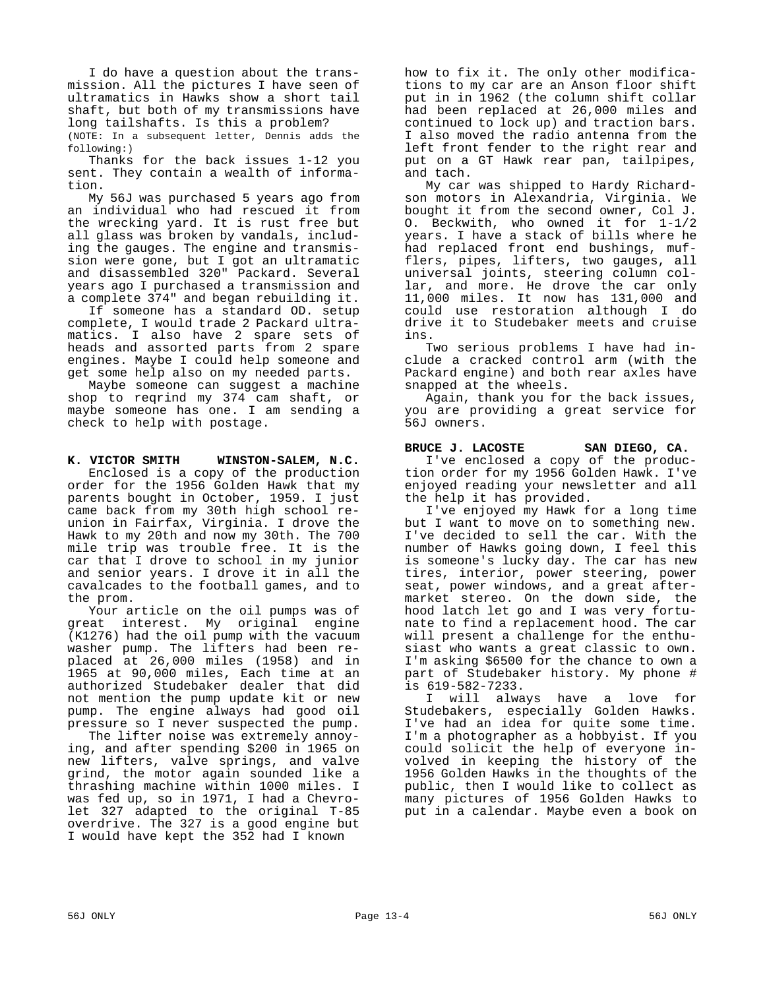I do have a question about the transmission. All the pictures I have seen of ultramatics in Hawks show a short tail shaft, but both of my transmissions have long tailshafts. Is this a problem?

(NOTE: In a subsequent letter, Dennis adds the following:)

Thanks for the back issues 1-12 you sent. They contain a wealth of information.

My 56J was purchased 5 years ago from an individual who had rescued it from the wrecking yard. It is rust free but all glass was broken by vandals, including the gauges. The engine and transmission were gone, but I got an ultramatic and disassembled 320" Packard. Several years ago I purchased a transmission and a complete 374" and began rebuilding it.

If someone has a standard OD. setup complete, I would trade 2 Packard ultramatics. I also have 2 spare sets of heads and assorted parts from 2 spare engines. Maybe I could help someone and get some help also on my needed parts.

Maybe someone can suggest a machine shop to reqrind my 374 cam shaft, or maybe someone has one. I am sending a check to help with postage.

**K. VICTOR SMITH WINSTON-SALEM, N.C.**

Enclosed is a copy of the production order for the 1956 Golden Hawk that my parents bought in October, 1959. I just came back from my 30th high school reunion in Fairfax, Virginia. I drove the Hawk to my 20th and now my 30th. The 700 mile trip was trouble free. It is the car that I drove to school in my junior and senior years. I drove it in all the cavalcades to the football games, and to the prom.

Your article on the oil pumps was of great interest. My original engine (K1276) had the oil pump with the vacuum washer pump. The lifters had been replaced at 26,000 miles (1958) and in 1965 at 90,000 miles, Each time at an authorized Studebaker dealer that did not mention the pump update kit or new pump. The engine always had good oil pressure so I never suspected the pump.

The lifter noise was extremely annoying, and after spending \$200 in 1965 on new lifters, valve springs, and valve grind, the motor again sounded like a thrashing machine within 1000 miles. I was fed up, so in 1971, I had a Chevrolet 327 adapted to the original T-85 overdrive. The 327 is a good engine but I would have kept the 352 had I known

how to fix it. The only other modifications to my car are an Anson floor shift put in in 1962 (the column shift collar had been replaced at 26,000 miles and continued to lock up) and traction bars. I also moved the radio antenna from the left front fender to the right rear and put on a GT Hawk rear pan, tailpipes, and tach.

My car was shipped to Hardy Richardson motors in Alexandria, Virginia. We bought it from the second owner, Col J. O. Beckwith, who owned it for 1-1/2 years. I have a stack of bills where he had replaced front end bushings, mufflers, pipes, lifters, two gauges, all universal joints, steering column collar, and more. He drove the car only 11,000 miles. It now has 131,000 and could use restoration although I do drive it to Studebaker meets and cruise ins.

Two serious problems I have had include a cracked control arm (with the Packard engine) and both rear axles have snapped at the wheels.

Again, thank you for the back issues, you are providing a great service for 56J owners.

## **BRUCE J. LACOSTE SAN DIEGO, CA.**

I've enclosed a copy of the production order for my 1956 Golden Hawk. I've enjoyed reading your newsletter and all the help it has provided.

I've enjoyed my Hawk for a long time but I want to move on to something new. I've decided to sell the car. With the number of Hawks going down, I feel this is someone's lucky day. The car has new tires, interior, power steering, power seat, power windows, and a great aftermarket stereo. On the down side, the hood latch let go and I was very fortunate to find a replacement hood. The car will present a challenge for the enthusiast who wants a great classic to own. I'm asking \$6500 for the chance to own a part of Studebaker history. My phone # is 619-582-7233.

I will always have a love for Studebakers, especially Golden Hawks. I've had an idea for quite some time. I'm a photographer as a hobbyist. If you could solicit the help of everyone involved in keeping the history of the 1956 Golden Hawks in the thoughts of the public, then I would like to collect as many pictures of 1956 Golden Hawks to put in a calendar. Maybe even a book on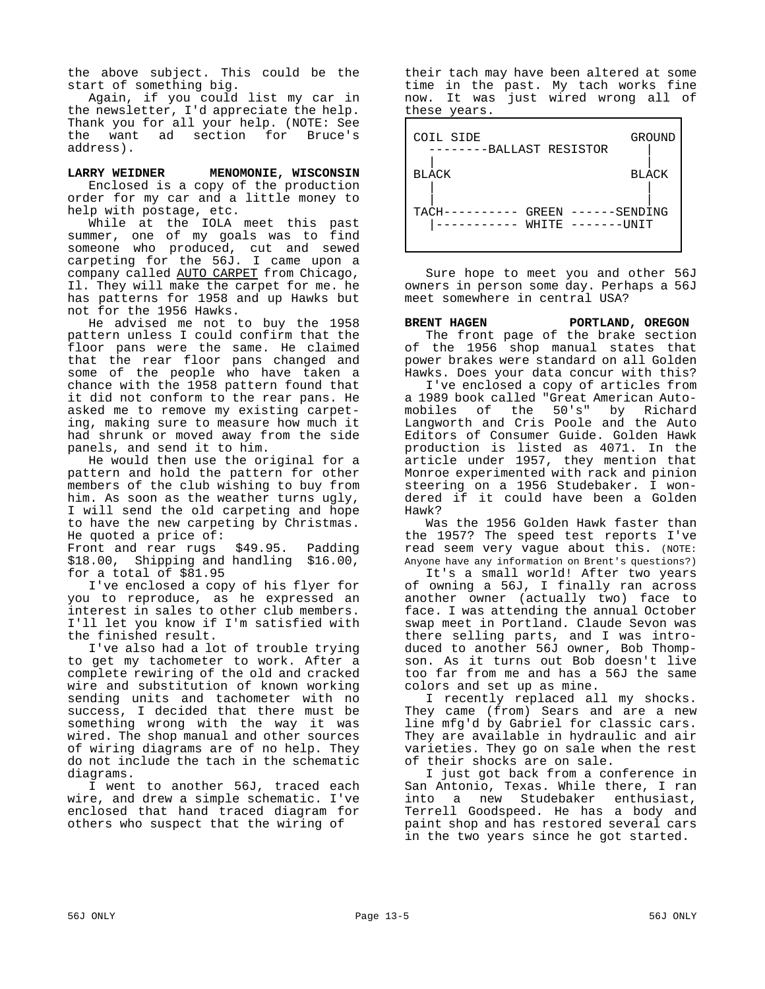the above subject. This could be the start of something big.

Again, if you could list my car in the newsletter, I'd appreciate the help. Thank you for all your help. (NOTE: See the want ad section for Bruce's address).

**LARRY WEIDNER MENOMONIE, WISCONSIN** Enclosed is a copy of the production order for my car and a little money to help with postage, etc.

While at the IOLA meet this past summer, one of my goals was to find someone who produced, cut and sewed carpeting for the 56J. I came upon a company called AUTO CARPET from Chicago, Il. They will make the carpet for me. he has patterns for 1958 and up Hawks but not for the 1956 Hawks.

He advised me not to buy the 1958 pattern unless I could confirm that the floor pans were the same. He claimed that the rear floor pans changed and some of the people who have taken a chance with the 1958 pattern found that it did not conform to the rear pans. He asked me to remove my existing carpeting, making sure to measure how much it had shrunk or moved away from the side panels, and send it to him.

He would then use the original for a pattern and hold the pattern for other members of the club wishing to buy from him. As soon as the weather turns ugly, I will send the old carpeting and hope to have the new carpeting by Christmas. He quoted a price of:

Front and rear rugs \$49.95. Padding \$18.00, Shipping and handling \$16.00, for a total of \$81.95

I've enclosed a copy of his flyer for you to reproduce, as he expressed an interest in sales to other club members. I'll let you know if I'm satisfied with the finished result.

I've also had a lot of trouble trying to get my tachometer to work. After a complete rewiring of the old and cracked wire and substitution of known working sending units and tachometer with no success, I decided that there must be something wrong with the way it was wired. The shop manual and other sources of wiring diagrams are of no help. They do not include the tach in the schematic diagrams.

I went to another 56J, traced each wire, and drew a simple schematic. I've enclosed that hand traced diagram for others who suspect that the wiring of

their tach may have been altered at some time in the past. My tach works fine now. It was just wired wrong all of these years.

| COIL SIDE<br>-BALLAST RESISTOR         | GROUND       |
|----------------------------------------|--------------|
| <b>BLACK</b>                           | <b>BLACK</b> |
| TACH<br>GREEN<br>WHITE<br>–––––––TINTT | SENDING      |

Sure hope to meet you and other 56J owners in person some day. Perhaps a 56J meet somewhere in central USA?

# **BRENT HAGEN PORTLAND, OREGON**

The front page of the brake section of the 1956 shop manual states that power brakes were standard on all Golden Hawks. Does your data concur with this?

I've enclosed a copy of articles from a 1989 book called "Great American Automobiles of the 50's" by Richard Langworth and Cris Poole and the Auto Editors of Consumer Guide. Golden Hawk production is listed as 4071. In the article under 1957, they mention that Monroe experimented with rack and pinion steering on a 1956 Studebaker. I wondered if it could have been a Golden Hawk?

Was the 1956 Golden Hawk faster than the 1957? The speed test reports I've read seem very vague about this. (NOTE: Anyone have any information on Brent's questions?)

It's a small world! After two years of owning a 56J, I finally ran across another owner (actually two) face to face. I was attending the annual October swap meet in Portland. Claude Sevon was there selling parts, and I was introduced to another 56J owner, Bob Thompson. As it turns out Bob doesn't live too far from me and has a 56J the same colors and set up as mine.

I recently replaced all my shocks. They came (from) Sears and are a new line mfg'd by Gabriel for classic cars. They are available in hydraulic and air varieties. They go on sale when the rest of their shocks are on sale.

I just got back from a conference in San Antonio, Texas. While there, I ran into a new Studebaker enthusiast, Terrell Goodspeed. He has a body and paint shop and has restored several cars in the two years since he got started.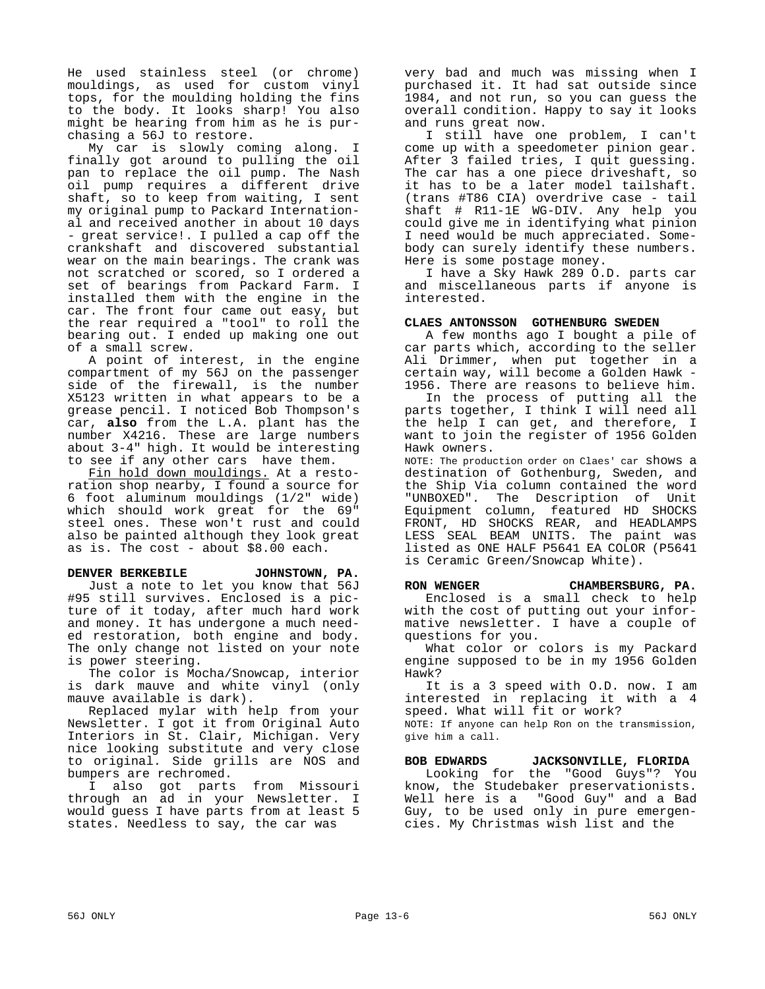He used stainless steel (or chrome) mouldings, as used for custom vinyl tops, for the moulding holding the fins to the body. It looks sharp! You also might be hearing from him as he is purchasing a 56J to restore.

My car is slowly coming along. I finally got around to pulling the oil pan to replace the oil pump. The Nash oil pump requires a different drive shaft, so to keep from waiting, I sent my original pump to Packard International and received another in about 10 days - great service!. I pulled a cap off the crankshaft and discovered substantial wear on the main bearings. The crank was not scratched or scored, so I ordered a set of bearings from Packard Farm. I installed them with the engine in the car. The front four came out easy, but the rear required a "tool" to roll the bearing out. I ended up making one out of a small screw.

A point of interest, in the engine compartment of my 56J on the passenger side of the firewall, is the number X5123 written in what appears to be a grease pencil. I noticed Bob Thompson's car, **also** from the L.A. plant has the number X4216. These are large numbers about 3-4" high. It would be interesting to see if any other cars have them.

Fin hold down mouldings. At a restoration shop nearby, I found a source for 6 foot aluminum mouldings (1/2" wide) which should work great for the 69" steel ones. These won't rust and could also be painted although they look great as is. The cost - about \$8.00 each.

#### **DENVER BERKEBILE JOHNSTOWN, PA.**

Just a note to let you know that 56J #95 still survives. Enclosed is a picture of it today, after much hard work and money. It has undergone a much needed restoration, both engine and body. The only change not listed on your note is power steering.

The color is Mocha/Snowcap, interior is dark mauve and white vinyl (only mauve available is dark).

Replaced mylar with help from your Newsletter. I got it from Original Auto Interiors in St. Clair, Michigan. Very nice looking substitute and very close to original. Side grills are NOS and bumpers are rechromed.

I also got parts from Missouri through an ad in your Newsletter. I would guess I have parts from at least 5 states. Needless to say, the car was

very bad and much was missing when I purchased it. It had sat outside since 1984, and not run, so you can guess the overall condition. Happy to say it looks and runs great now.

I still have one problem, I can't come up with a speedometer pinion gear. After 3 failed tries, I quit guessing. The car has a one piece driveshaft, so it has to be a later model tailshaft. (trans #T86 CIA) overdrive case - tail shaft # R11-1E WG-DIV. Any help you could give me in identifying what pinion I need would be much appreciated. Somebody can surely identify these numbers. Here is some postage money.

I have a Sky Hawk 289 O.D. parts car and miscellaneous parts if anyone is interested.

#### **CLAES ANTONSSON GOTHENBURG SWEDEN**

A few months ago I bought a pile of car parts which, according to the seller Ali Drimmer, when put together in a certain way, will become a Golden Hawk - 1956. There are reasons to believe him.

In the process of putting all the parts together, I think I will need all the help I can get, and therefore, I want to join the register of 1956 Golden Hawk owners.

NOTE: The production order on Claes' car shows a destination of Gothenburg, Sweden, and the Ship Via column contained the word "UNBOXED". The Description of Unit Equipment column, featured HD SHOCKS FRONT, HD SHOCKS REAR, and HEADLAMPS LESS SEAL BEAM UNITS. The paint was listed as ONE HALF P5641 EA COLOR (P5641 is Ceramic Green/Snowcap White).

## **RON WENGER CHAMBERSBURG, PA.**

Enclosed is a small check to help with the cost of putting out your informative newsletter. I have a couple of questions for you.

What color or colors is my Packard engine supposed to be in my 1956 Golden Hawk?

It is a 3 speed with O.D. now. I am interested in replacing it with a 4 speed. What will fit or work?

NOTE: If anyone can help Ron on the transmission, give him a call.

# **BOB EDWARDS JACKSONVILLE, FLORIDA**

Looking for the "Good Guys"? You know, the Studebaker preservationists. Well here is a "Good Guy" and a Bad Guy, to be used only in pure emergencies. My Christmas wish list and the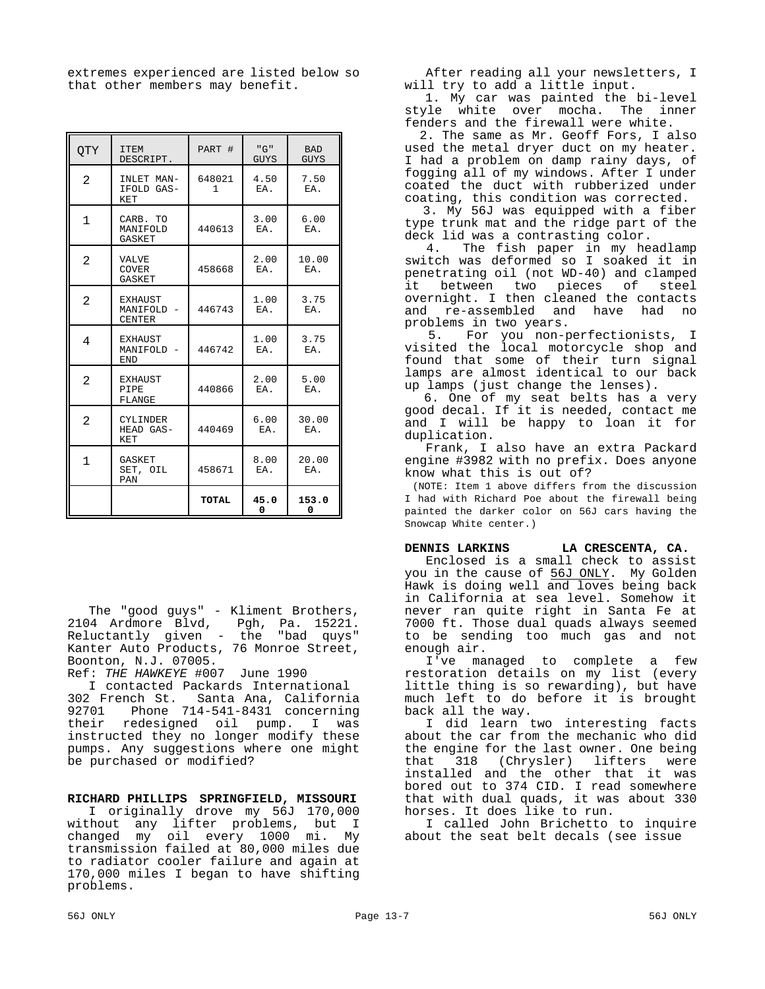extremes experienced are listed below so that other members may benefit.

| <b>OTY</b>     | <b>ITEM</b><br>DESCRIPT.                    | PART #                 | "G"<br><b>GUYS</b> | <b>BAD</b><br><b>GUYS</b> |
|----------------|---------------------------------------------|------------------------|--------------------|---------------------------|
| $\mathfrak{D}$ | INLET MAN-<br>IFOLD GAS-<br>KET             | 648021<br>$\mathbf{1}$ | 4.50<br>EA.        | 7.50<br>EA.               |
| $\mathbf{1}$   | CARB. TO<br>MANIFOLD<br>GASKET              | 440613                 | 3.00<br>EA.        | 6.00<br>EA.               |
| $\overline{2}$ | <b>VALVE</b><br><b>COVER</b><br>GASKET      | 458668                 | 2.00<br>EA.        | 10.00<br>EA.              |
| $\overline{2}$ | <b>EXHAUST</b><br>MANIFOLD<br><b>CENTER</b> | 446743                 | 1.00<br>EA.        | 3.75<br>EA.               |
| 4              | <b>EXHAUST</b><br>MANIFOLD -<br>END         | 446742                 | 1.00<br>EA.        | 3.75<br>EA.               |
| $\overline{2}$ | <b>EXHAUST</b><br>PIPE<br>FLANGE            | 440866                 | 2.00<br>EA.        | 5.00<br>EA.               |
| $\overline{2}$ | <b>CYLINDER</b><br>HEAD GAS-<br>KET         | 440469                 | 6.00<br>EA.        | 30.00<br>EA.              |
| $\mathbf{1}$   | GASKET<br>SET, OIL<br>PAN                   | 458671                 | 8.00<br>EA.        | 20.00<br>EA.              |
|                |                                             | TOTAL                  | 45.0<br>0          | 153.0<br>0                |

The "good guys" - Kliment Brothers, 2104 Ardmore Blvd, Pgh, Pa. 15221. Reluctantly given - the "bad quys" Kanter Auto Products, 76 Monroe Street, Boonton, N.J. 07005.

Ref: *THE HAWKEYE* #007 June 1990

I contacted Packards International 302 French St. Santa Ana, California 92701 Phone 714-541-8431 concerning their redesigned oil pump. I was instructed they no longer modify these pumps. Any suggestions where one might be purchased or modified?

#### **RICHARD PHILLIPS SPRINGFIELD, MISSOURI**

I originally drove my 56J 170,000 without any lifter problems, but I changed my oil every 1000 mi. My transmission failed at 80,000 miles due to radiator cooler failure and again at 170,000 miles I began to have shifting problems.

After reading all your newsletters, I will try to add a little input.

 1. My car was painted the bi-level style white over mocha. The inner fenders and the firewall were white.

 2. The same as Mr. Geoff Fors, I also used the metal dryer duct on my heater. I had a problem on damp rainy days, of fogging all of my windows. After I under coated the duct with rubberized under coating, this condition was corrected.

 3. My 56J was equipped with a fiber type trunk mat and the ridge part of the deck lid was a contrasting color.

 4. The fish paper in my headlamp switch was deformed so I soaked it in penetrating oil (not WD-40) and clamped it between two pieces of steel overnight. I then cleaned the contacts and re-assembled and have had no problems in two years.

 5. For you non-perfectionists, I visited the local motorcycle shop and found that some of their turn signal lamps are almost identical to our back up lamps (just change the lenses).

 6. One of my seat belts has a very good decal. If it is needed, contact me and I will be happy to loan it for duplication.

Frank, I also have an extra Packard engine #3982 with no prefix. Does anyone know what this is out of?

(NOTE: Item 1 above differs from the discussion I had with Richard Poe about the firewall being painted the darker color on 56J cars having the Snowcap White center.)

## **DENNIS LARKINS LA CRESCENTA, CA.**

Enclosed is a small check to assist you in the cause of 56J ONLY. My Golden Hawk is doing well and loves being back in California at sea level. Somehow it never ran quite right in Santa Fe at 7000 ft. Those dual quads always seemed to be sending too much gas and not enough air.

I've managed to complete a few restoration details on my list (every little thing is so rewarding), but have much left to do before it is brought back all the way.

I did learn two interesting facts about the car from the mechanic who did the engine for the last owner. One being that 318 (Chrysler) lifters were installed and the other that it was bored out to 374 CID. I read somewhere that with dual quads, it was about 330 horses. It does like to run.

I called John Brichetto to inquire about the seat belt decals (see issue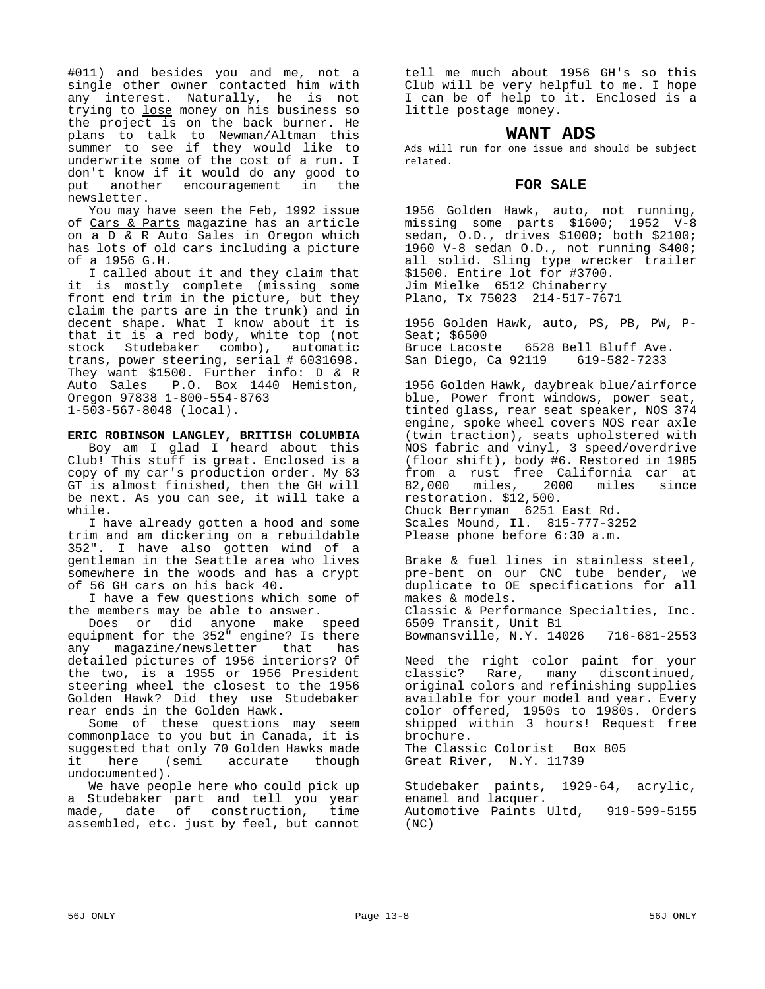#011) and besides you and me, not a single other owner contacted him with any interest. Naturally, he is not trying to <u>lose</u> money on his business so the project is on the back burner. He plans to talk to Newman/Altman this summer to see if they would like to underwrite some of the cost of a run. I don't know if it would do any good to<br>put another encouragement in the put another encouragement in newsletter.

You may have seen the Feb, 1992 issue of Cars & Parts magazine has an article on a D & R Auto Sales in Oregon which has lots of old cars including a picture of a 1956 G.H.

I called about it and they claim that it is mostly complete (missing some front end trim in the picture, but they claim the parts are in the trunk) and in decent shape. What I know about it is that it is a red body, white top (not stock Studebaker combo), automatic trans, power steering, serial # 6031698. They want \$1500. Further info: D & R<br>Auto Sales P.O. Box 1440 Hemiston, P.O. Box 1440 Hemiston, Oregon 97838 1-800-554-8763 1-503-567-8048 (local).

#### **ERIC ROBINSON LANGLEY, BRITISH COLUMBIA**

Boy am I glad I heard about this Club! This stuff is great. Enclosed is a copy of my car's production order. My 63 GT is almost finished, then the GH will be next. As you can see, it will take a while.

I have already gotten a hood and some trim and am dickering on a rebuildable 352". I have also gotten wind of a gentleman in the Seattle area who lives somewhere in the woods and has a crypt of 56 GH cars on his back 40.

I have a few questions which some of the members may be able to answer.

Does or did anyone make speed equipment for the 352" engine? Is there any magazine/newsletter that has detailed pictures of 1956 interiors? Of the two, is a 1955 or 1956 President steering wheel the closest to the 1956 Golden Hawk? Did they use Studebaker rear ends in the Golden Hawk.

Some of these questions may seem commonplace to you but in Canada, it is suggested that only 70 Golden Hawks made it here (semi accurate though undocumented).

We have people here who could pick up a Studebaker part and tell you year<br>made, date of construction, time made, date of construction, assembled, etc. just by feel, but cannot

tell me much about 1956 GH's so this Club will be very helpful to me. I hope I can be of help to it. Enclosed is a little postage money.

# **WANT ADS**

Ads will run for one issue and should be subject related.

# **FOR SALE**

1956 Golden Hawk, auto, not running, missing some parts \$1600; 1952 V-8 sedan, O.D., drives \$1000; both \$2100; 1960 V-8 sedan O.D., not running \$400; all solid. Sling type wrecker trailer \$1500. Entire lot for #3700. Jim Mielke 6512 Chinaberry Plano, Tx 75023 214-517-7671

1956 Golden Hawk, auto, PS, PB, PW, P-Seat; \$6500 Bruce Lacoste 6528 Bell Bluff Ave. San Diego, Ca 92119 619-582-7233

1956 Golden Hawk, daybreak blue/airforce blue, Power front windows, power seat, tinted glass, rear seat speaker, NOS 374 engine, spoke wheel covers NOS rear axle (twin traction), seats upholstered with NOS fabric and vinyl, 3 speed/overdrive (floor shift), body #6. Restored in 1985 from a rust free California car at 82,000 miles, 2000 miles since restoration. \$12,500. Chuck Berryman 6251 East Rd. Scales Mound, Il. 815-777-3252 Please phone before 6:30 a.m.

Brake & fuel lines in stainless steel, pre-bent on our CNC tube bender, we duplicate to OE specifications for all makes & models. Classic & Performance Specialties, Inc. 6509 Transit, Unit B1 Bowmansville, N.Y. 14026 716-681-2553

Need the right color paint for your classic? Rare, many discontinued, original colors and refinishing supplies available for your model and year. Every color offered, 1950s to 1980s. Orders shipped within 3 hours! Request free brochure. The Classic Colorist Box 805

Great River, N.Y. 11739

Studebaker paints, 1929-64, acrylic, enamel and lacquer. Automotive Paints Ultd, 919-599-5155 (NC)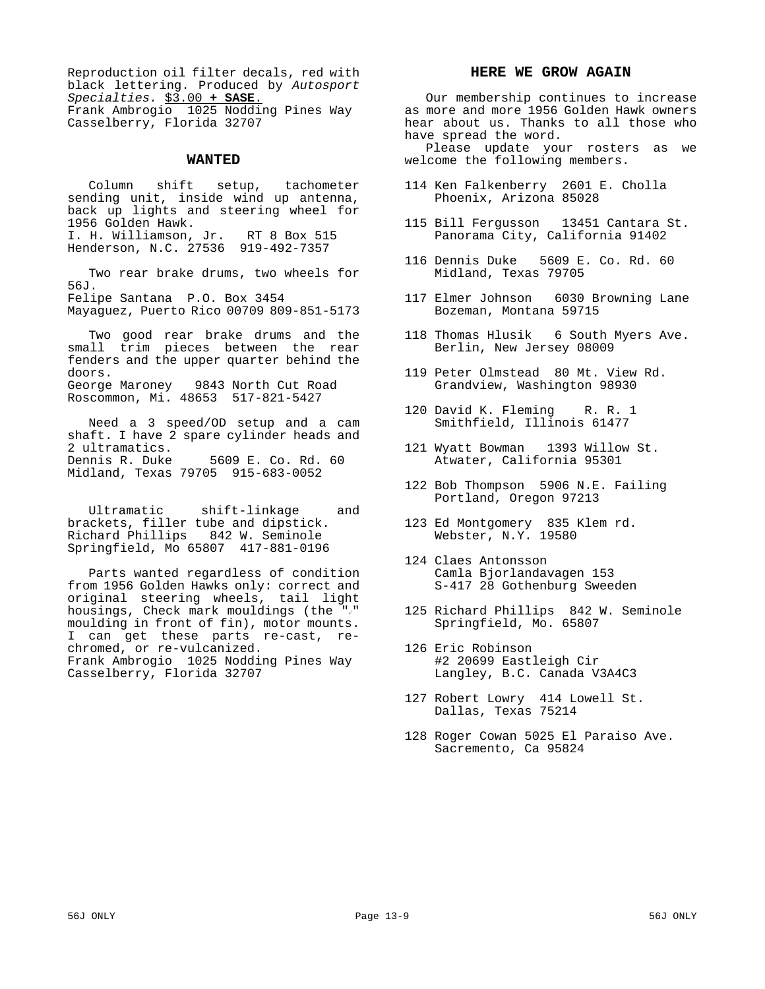Reproduction oil filter decals, red with black lettering. Produced by *Autosport Specialties.* \$3.00 **+ SASE**. Frank Ambrogio 1025 Nodding Pines Way Casselberry, Florida 32707

#### **WANTED**

Column shift setup, tachometer sending unit, inside wind up antenna, back up lights and steering wheel for 1956 Golden Hawk. I. H. Williamson, Jr. RT 8 Box 515 Henderson, N.C. 27536 919-492-7357

Two rear brake drums, two wheels for 56J. Felipe Santana P.O. Box 3454

Mayaguez, Puerto Rico 00709 809-851-5173

Two good rear brake drums and the small trim pieces between the rear fenders and the upper quarter behind the doors. George Maroney 9843 North Cut Road Roscommon, Mi. 48653 517-821-5427

Need a 3 speed/OD setup and a cam shaft. I have 2 spare cylinder heads and 2 ultramatics.<br>Dennis R. Duke 5609 E. Co. Rd. 60 Midland, Texas 79705 915-683-0052

Ultramatic shift-linkage and brackets, filler tube and dipstick. Richard Phillips 842 W. Seminole Springfield, Mo 65807 417-881-0196

Parts wanted regardless of condition from 1956 Golden Hawks only: correct and original steering wheels, tail light housings, Check mark mouldings (the  $"\sqrt"$ moulding in front of fin), motor mounts. I can get these parts re-cast, rechromed, or re-vulcanized. Frank Ambrogio 1025 Nodding Pines Way Casselberry, Florida 32707

#### **HERE WE GROW AGAIN**

Our membership continues to increase as more and more 1956 Golden Hawk owners hear about us. Thanks to all those who have spread the word.

Please update your rosters as we welcome the following members.

- 114 Ken Falkenberry 2601 E. Cholla Phoenix, Arizona 85028
- 115 Bill Fergusson 13451 Cantara St. Panorama City, California 91402
- 116 Dennis Duke 5609 E. Co. Rd. 60 Midland, Texas 79705
- 117 Elmer Johnson 6030 Browning Lane Bozeman, Montana 59715
- 118 Thomas Hlusik 6 South Myers Ave. Berlin, New Jersey 08009
- 119 Peter Olmstead 80 Mt. View Rd. Grandview, Washington 98930
- 120 David K. Fleming R. R. 1 Smithfield, Illinois 61477
- 121 Wyatt Bowman 1393 Willow St. Atwater, California 95301
- 122 Bob Thompson 5906 N.E. Failing Portland, Oregon 97213
- 123 Ed Montgomery 835 Klem rd. Webster, N.Y. 19580
- 124 Claes Antonsson Camla Bjorlandavagen 153 S-417 28 Gothenburg Sweeden
- 125 Richard Phillips 842 W. Seminole Springfield, Mo. 65807
- 126 Eric Robinson #2 20699 Eastleigh Cir Langley, B.C. Canada V3A4C3
- 127 Robert Lowry 414 Lowell St. Dallas, Texas 75214
- 128 Roger Cowan 5025 El Paraiso Ave. Sacremento, Ca 95824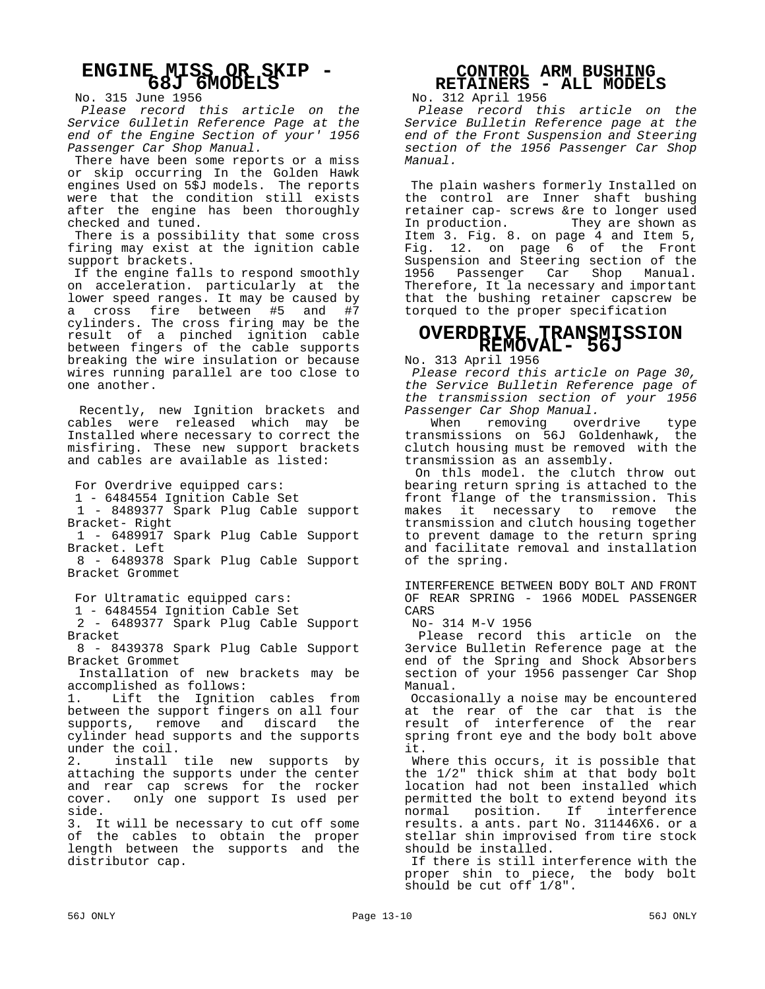# **ENGINE MISS OR SKIP - 68J 6MODELS**

No. 315 June 1956

 *Please record this article on the Service 6ulletin Reference Page at the end of the Engine Section of your' 1956 Passenger Car Shop Manual.*

 There have been some reports or a miss or skip occurring In the Golden Hawk engines Used on 5\$J models. The reports were that the condition still exists after the engine has been thoroughly checked and tuned.

 There is a possibility that some cross firing may exist at the ignition cable support brackets.

 If the engine falls to respond smoothly on acceleration. particularly at the lower speed ranges. It may be caused by a cross fire between #5 and #7 cylinders. The cross firing may be the result of a pinched ignition cable between fingers of the cable supports breaking the wire insulation or because wires running parallel are too close to one another.

 Recently, new Ignition brackets and cables were released which may be Installed where necessary to correct the misfiring. These new support brackets and cables are available as listed:

For Overdrive equipped cars:

1 - 6484554 Ignition Cable Set

 1 - 8489377 Spark Plug Cable support Bracket- Right

 1 - 6489917 Spark Plug Cable Support Bracket. Left

 8 - 6489378 Spark Plug Cable Support Bracket Grommet

For Ultramatic equipped cars:

1 - 6484554 Ignition Cable Set

 2 - 6489377 Spark Plug Cable Support Bracket

 8 - 8439378 Spark Plug Cable Support Bracket Grommet

 Installation of new brackets may be accomplished as follows:

1. Lift the Ignition cables from between the support fingers on all four supports, remove and discard the cylinder head supports and the supports under the coil.

2. install tile new supports by attaching the supports under the center and rear cap screws for the rocker cover. only one support Is used per side.

3. It will be necessary to cut off some of the cables to obtain the proper length between the supports and the distributor cap.

# **CONTROL ARM BUSHING RETAINERS - ALL MODELS**

No. 312 April 1956

*Please record this article on the Service Bulletin Reference page at the end of the Front Suspension and Steering section of the 1956 Passenger Car Shop Manual.*

 The plain washers formerly Installed on the control are Inner shaft bushing retainer cap- screws &re to longer used In production. They are shown as Item 3. Fig. 8. on page 4 and Item 5, Fig. 12. on page 6 of the Front Suspension and Steering section of the<br>1956 Passenger Car Shop Manual. Passenger Car Shop Manual. Therefore, It la necessary and important that the bushing retainer capscrew be torqued to the proper specification

# **OVERDRIVE TRANSMISSION REMOVAL- 56J**

No. 313 April 1956

 *Please record this article on Page 30, the Service Bulletin Reference page of the transmission section of your 1956 Passenger Car Shop Manual.*

 When removing overdrive type transmissions on 56J Goldenhawk, the clutch housing must be removed with the transmission as an assembly.

 On thls model. the clutch throw out bearing return spring is attached to the front flange of the transmission. This makes it necessary to remove the transmission and clutch housing together to prevent damage to the return spring and facilitate removal and installation of the spring.

INTERFERENCE BETWEEN BODY BOLT AND FRONT OF REAR SPRING - 1966 MODEL PASSENGER CARS

No- 314 M-V 1956

 Please record this article on the 3ervice Bulletin Reference page at the end of the Spring and Shock Absorbers section of your 1956 passenger Car Shop Manual.

 Occasionally a noise may be encountered at the rear of the car that is the result of interference of the rear spring front eye and the body bolt above it.

 Where this occurs, it is possible that the 1/2" thick shim at that body bolt location had not been installed which permitted the bolt to extend beyond its normal position. If interference results. a ants. part No. 311446X6. or a stellar shin improvised from tire stock should be installed.

 If there is still interference with the proper shin to piece, the body bolt should be cut off 1/8".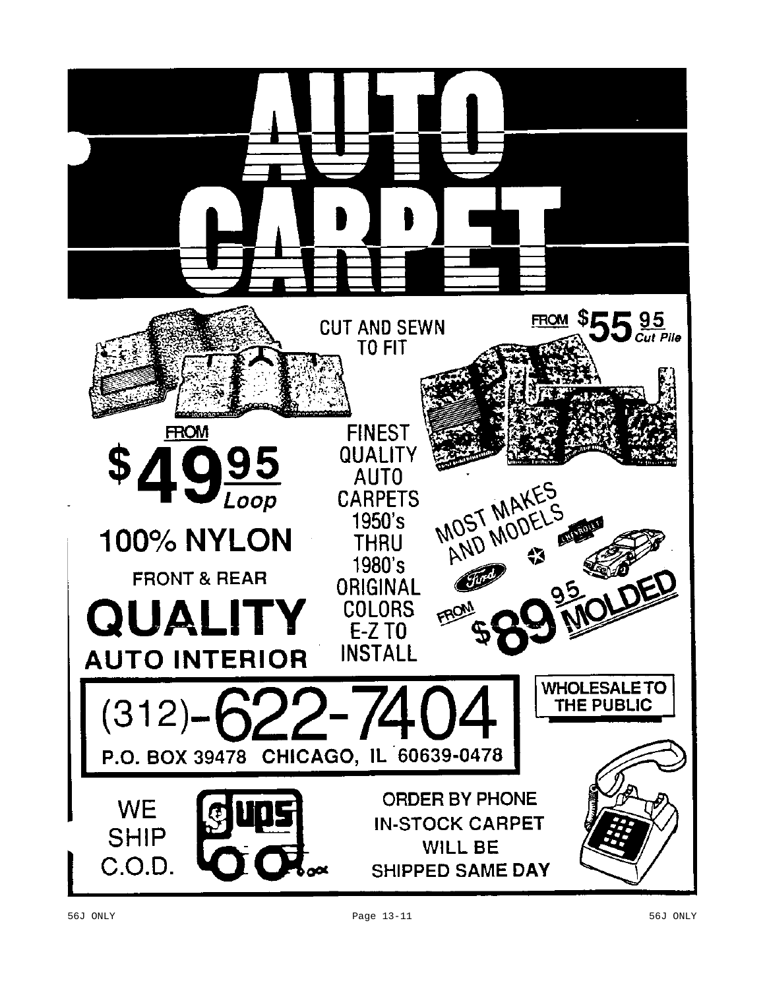